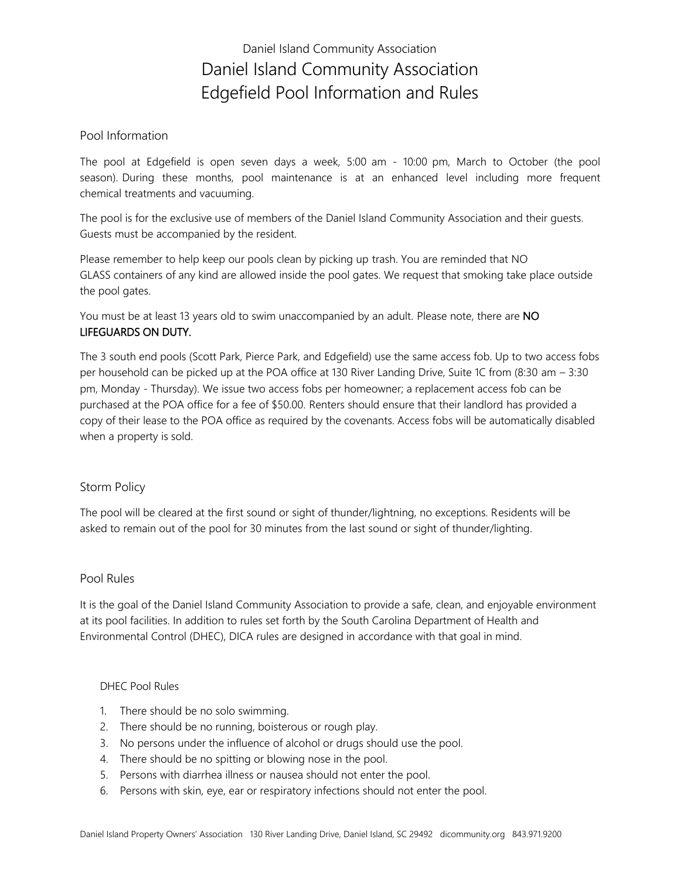## Daniel Island Community Association Daniel Island Community Association Edgefield Pool Information and Rules

#### Pool Information

The pool at Edgefield is open seven days a week, 5:00 am - 10:00 pm, March to October (the pool season). During these months, pool maintenance is at an enhanced level including more frequent chemical treatments and vacuuming.

The pool is for the exclusive use of members of the Daniel Island Community Association and their guests. Guests must be accompanied by the resident.

Please remember to help keep our pools clean by picking up trash. You are reminded that NO GLASS containers of any kind are allowed inside the pool gates. We request that smoking take place outside the pool gates.

You must be at least 13 years old to swim unaccompanied by an adult. Please note, there are NO LIFEGUARDS ON DUTY.

The 3 south end pools (Scott Park, Pierce Park, and Edgefield) use the same access fob. Up to two access fobs per household can be picked up at the POA office at 130 River Landing Drive, Suite 1C from (8:30 am – 3:30 pm, Monday - Thursday). We issue two access fobs per homeowner; a replacement access fob can be purchased at the POA office for a fee of \$50.00. Renters should ensure that their landlord has provided a copy of their lease to the POA office as required by the covenants. Access fobs will be automatically disabled when a property is sold.

### Storm Policy

The pool will be cleared at the first sound or sight of thunder/lightning, no exceptions. Residents will be asked to remain out of the pool for 30 minutes from the last sound or sight of thunder/lighting.

### Pool Rules

It is the goal of the Daniel Island Community Association to provide a safe, clean, and enjoyable environment at its pool facilities. In addition to rules set forth by the South Carolina Department of Health and Environmental Control (DHEC), DICA rules are designed in accordance with that goal in mind.

#### DHEC Pool Rules

- 1. There should be no solo swimming.
- 2. There should be no running, boisterous or rough play.
- 3. No persons under the influence of alcohol or drugs should use the pool.
- 4. There should be no spitting or blowing nose in the pool.
- 5. Persons with diarrhea illness or nausea should not enter the pool.
- 6. Persons with skin, eye, ear or respiratory infections should not enter the pool.